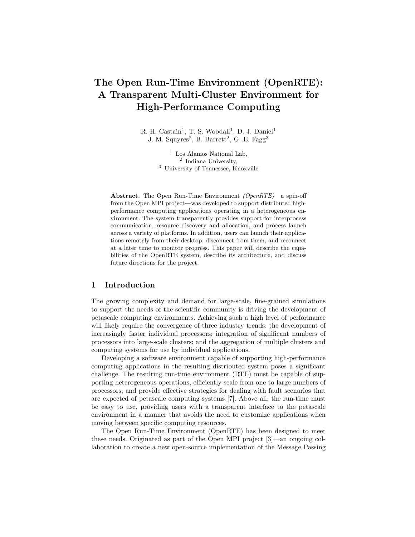# The Open Run-Time Environment (OpenRTE): A Transparent Multi-Cluster Environment for High-Performance Computing

R. H. Castain<sup>1</sup>, T. S. Woodall<sup>1</sup>, D. J. Daniel<sup>1</sup> J. M. Squyres<sup>2</sup>, B. Barrett<sup>2</sup>, G.E. Fagg<sup>3</sup>

> $^{\rm 1}$  Los Alamos National Lab, 2 Indiana University, <sup>3</sup> University of Tennessee, Knoxville

Abstract. The Open Run-Time Environment (OpenRTE)—a spin-off from the Open MPI project—was developed to support distributed highperformance computing applications operating in a heterogeneous environment. The system transparently provides support for interprocess communication, resource discovery and allocation, and process launch across a variety of platforms. In addition, users can launch their applications remotely from their desktop, disconnect from them, and reconnect at a later time to monitor progress. This paper will describe the capabilities of the OpenRTE system, describe its architecture, and discuss future directions for the project.

#### 1 Introduction

The growing complexity and demand for large-scale, fine-grained simulations to support the needs of the scientific community is driving the development of petascale computing environments. Achieving such a high level of performance will likely require the convergence of three industry trends: the development of increasingly faster individual processors; integration of significant numbers of processors into large-scale clusters; and the aggregation of multiple clusters and computing systems for use by individual applications.

Developing a software environment capable of supporting high-performance computing applications in the resulting distributed system poses a significant challenge. The resulting run-time environment (RTE) must be capable of supporting heterogeneous operations, efficiently scale from one to large numbers of processors, and provide effective strategies for dealing with fault scenarios that are expected of petascale computing systems [7]. Above all, the run-time must be easy to use, providing users with a transparent interface to the petascale environment in a manner that avoids the need to customize applications when moving between specific computing resources.

The Open Run-Time Environment (OpenRTE) has been designed to meet these needs. Originated as part of the Open MPI project [3]—an ongoing collaboration to create a new open-source implementation of the Message Passing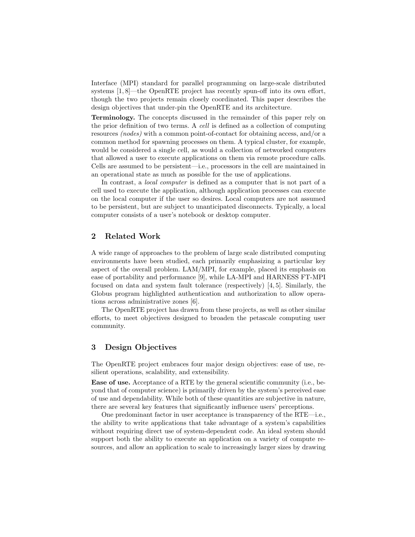Interface (MPI) standard for parallel programming on large-scale distributed systems  $[1, 8]$ —the OpenRTE project has recently spun-off into its own effort, though the two projects remain closely coordinated. This paper describes the design objectives that under-pin the OpenRTE and its architecture.

Terminology. The concepts discussed in the remainder of this paper rely on the prior definition of two terms. A cell is defined as a collection of computing resources (nodes) with a common point-of-contact for obtaining access, and/or a common method for spawning processes on them. A typical cluster, for example, would be considered a single cell, as would a collection of networked computers that allowed a user to execute applications on them via remote procedure calls. Cells are assumed to be persistent—i.e., processors in the cell are maintained in an operational state as much as possible for the use of applications.

In contrast, a local computer is defined as a computer that is not part of a cell used to execute the application, although application processes can execute on the local computer if the user so desires. Local computers are not assumed to be persistent, but are subject to unanticipated disconnects. Typically, a local computer consists of a user's notebook or desktop computer.

#### 2 Related Work

A wide range of approaches to the problem of large scale distributed computing environments have been studied, each primarily emphasizing a particular key aspect of the overall problem. LAM/MPI, for example, placed its emphasis on ease of portability and performance [9], while LA-MPI and HARNESS FT-MPI focused on data and system fault tolerance (respectively) [4, 5]. Similarly, the Globus program highlighted authentication and authorization to allow operations across administrative zones [6].

The OpenRTE project has drawn from these projects, as well as other similar efforts, to meet objectives designed to broaden the petascale computing user community.

#### 3 Design Objectives

The OpenRTE project embraces four major design objectives: ease of use, resilient operations, scalability, and extensibility.

Ease of use. Acceptance of a RTE by the general scientific community (i.e., beyond that of computer science) is primarily driven by the system's perceived ease of use and dependability. While both of these quantities are subjective in nature, there are several key features that significantly influence users' perceptions.

One predominant factor in user acceptance is transparency of the RTE—i.e., the ability to write applications that take advantage of a system's capabilities without requiring direct use of system-dependent code. An ideal system should support both the ability to execute an application on a variety of compute resources, and allow an application to scale to increasingly larger sizes by drawing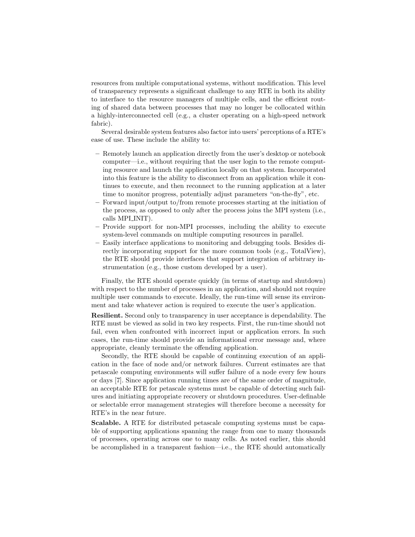resources from multiple computational systems, without modification. This level of transparency represents a significant challenge to any RTE in both its ability to interface to the resource managers of multiple cells, and the efficient routing of shared data between processes that may no longer be collocated within a highly-interconnected cell (e.g., a cluster operating on a high-speed network fabric).

Several desirable system features also factor into users' perceptions of a RTE's ease of use. These include the ability to:

- Remotely launch an application directly from the user's desktop or notebook computer—i.e., without requiring that the user login to the remote computing resource and launch the application locally on that system. Incorporated into this feature is the ability to disconnect from an application while it continues to execute, and then reconnect to the running application at a later time to monitor progress, potentially adjust parameters "on-the-fly", etc.
- Forward input/output to/from remote processes starting at the initiation of the process, as opposed to only after the process joins the MPI system (i.e., calls MPI<sub>INIT</sub>).
- Provide support for non-MPI processes, including the ability to execute system-level commands on multiple computing resources in parallel.
- Easily interface applications to monitoring and debugging tools. Besides directly incorporating support for the more common tools (e.g., TotalView), the RTE should provide interfaces that support integration of arbitrary instrumentation (e.g., those custom developed by a user).

Finally, the RTE should operate quickly (in terms of startup and shutdown) with respect to the number of processes in an application, and should not require multiple user commands to execute. Ideally, the run-time will sense its environment and take whatever action is required to execute the user's application.

Resilient. Second only to transparency in user acceptance is dependability. The RTE must be viewed as solid in two key respects. First, the run-time should not fail, even when confronted with incorrect input or application errors. In such cases, the run-time should provide an informational error message and, where appropriate, cleanly terminate the offending application.

Secondly, the RTE should be capable of continuing execution of an application in the face of node and/or network failures. Current estimates are that petascale computing environments will suffer failure of a node every few hours or days [7]. Since application running times are of the same order of magnitude, an acceptable RTE for petascale systems must be capable of detecting such failures and initiating appropriate recovery or shutdown procedures. User-definable or selectable error management strategies will therefore become a necessity for RTE's in the near future.

Scalable. A RTE for distributed petascale computing systems must be capable of supporting applications spanning the range from one to many thousands of processes, operating across one to many cells. As noted earlier, this should be accomplished in a transparent fashion—i.e., the RTE should automatically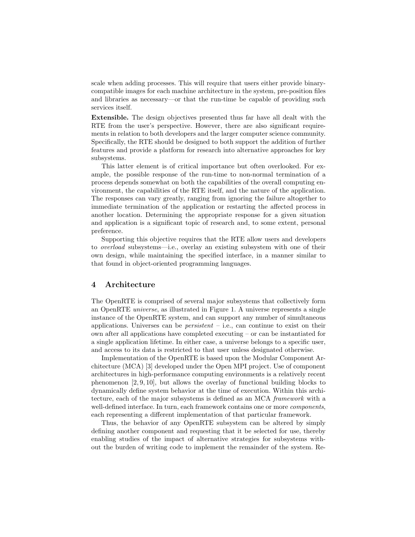scale when adding processes. This will require that users either provide binarycompatible images for each machine architecture in the system, pre-position files and libraries as necessary—or that the run-time be capable of providing such services itself.

Extensible. The design objectives presented thus far have all dealt with the RTE from the user's perspective. However, there are also significant requirements in relation to both developers and the larger computer science community. Specifically, the RTE should be designed to both support the addition of further features and provide a platform for research into alternative approaches for key subsystems.

This latter element is of critical importance but often overlooked. For example, the possible response of the run-time to non-normal termination of a process depends somewhat on both the capabilities of the overall computing environment, the capabilities of the RTE itself, and the nature of the application. The responses can vary greatly, ranging from ignoring the failure altogether to immediate termination of the application or restarting the affected process in another location. Determining the appropriate response for a given situation and application is a significant topic of research and, to some extent, personal preference.

Supporting this objective requires that the RTE allow users and developers to overload subsystems—i.e., overlay an existing subsystem with one of their own design, while maintaining the specified interface, in a manner similar to that found in object-oriented programming languages.

#### 4 Architecture

The OpenRTE is comprised of several major subsystems that collectively form an OpenRTE universe, as illustrated in Figure 1. A universe represents a single instance of the OpenRTE system, and can support any number of simultaneous applications. Universes can be *persistent* – i.e., can continue to exist on their own after all applications have completed executing – or can be instantiated for a single application lifetime. In either case, a universe belongs to a specific user, and access to its data is restricted to that user unless designated otherwise.

Implementation of the OpenRTE is based upon the Modular Component Architecture (MCA) [3] developed under the Open MPI project. Use of component architectures in high-performance computing environments is a relatively recent phenomenon  $[2, 9, 10]$ , but allows the overlay of functional building blocks to dynamically define system behavior at the time of execution. Within this architecture, each of the major subsystems is defined as an MCA framework with a well-defined interface. In turn, each framework contains one or more *components*, each representing a different implementation of that particular framework.

Thus, the behavior of any OpenRTE subsystem can be altered by simply defining another component and requesting that it be selected for use, thereby enabling studies of the impact of alternative strategies for subsystems without the burden of writing code to implement the remainder of the system. Re-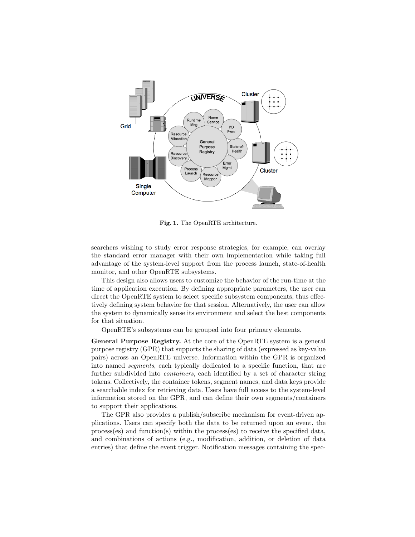

Fig. 1. The OpenRTE architecture.

searchers wishing to study error response strategies, for example, can overlay the standard error manager with their own implementation while taking full advantage of the system-level support from the process launch, state-of-health monitor, and other OpenRTE subsystems.

This design also allows users to customize the behavior of the run-time at the time of application execution. By defining appropriate parameters, the user can direct the OpenRTE system to select specific subsystem components, thus effectively defining system behavior for that session. Alternatively, the user can allow the system to dynamically sense its environment and select the best components for that situation.

OpenRTE's subsystems can be grouped into four primary elements.

General Purpose Registry. At the core of the OpenRTE system is a general purpose registry (GPR) that supports the sharing of data (expressed as key-value pairs) across an OpenRTE universe. Information within the GPR is organized into named segments, each typically dedicated to a specific function, that are further subdivided into containers, each identified by a set of character string tokens. Collectively, the container tokens, segment names, and data keys provide a searchable index for retrieving data. Users have full access to the system-level information stored on the GPR, and can define their own segments/containers to support their applications.

The GPR also provides a publish/subscribe mechanism for event-driven applications. Users can specify both the data to be returned upon an event, the process(es) and function(s) within the process(es) to receive the specified data, and combinations of actions (e.g., modification, addition, or deletion of data entries) that define the event trigger. Notification messages containing the spec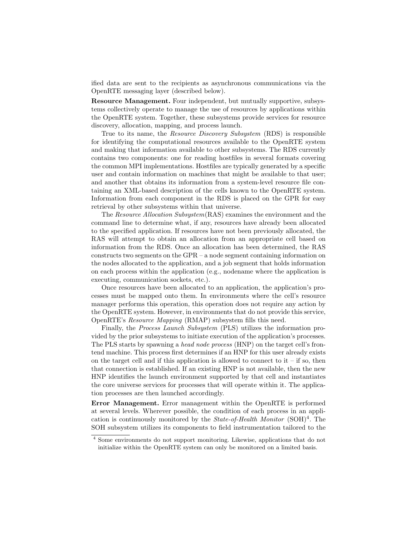ified data are sent to the recipients as asynchronous communications via the OpenRTE messaging layer (described below).

Resource Management. Four independent, but mutually supportive, subsystems collectively operate to manage the use of resources by applications within the OpenRTE system. Together, these subsystems provide services for resource discovery, allocation, mapping, and process launch.

True to its name, the Resource Discovery Subsystem (RDS) is responsible for identifying the computational resources available to the OpenRTE system and making that information available to other subsystems. The RDS currently contains two components: one for reading hostfiles in several formats covering the common MPI implementations. Hostfiles are typically generated by a specific user and contain information on machines that might be available to that user; and another that obtains its information from a system-level resource file containing an XML-based description of the cells known to the OpenRTE system. Information from each component in the RDS is placed on the GPR for easy retrieval by other subsystems within that universe.

The Resource Allocation Subsystem(RAS) examines the environment and the command line to determine what, if any, resources have already been allocated to the specified application. If resources have not been previously allocated, the RAS will attempt to obtain an allocation from an appropriate cell based on information from the RDS. Once an allocation has been determined, the RAS constructs two segments on the GPR – a node segment containing information on the nodes allocated to the application, and a job segment that holds information on each process within the application (e.g., nodename where the application is executing, communication sockets, etc.).

Once resources have been allocated to an application, the application's processes must be mapped onto them. In environments where the cell's resource manager performs this operation, this operation does not require any action by the OpenRTE system. However, in environments that do not provide this service, OpenRTE's Resource Mapping (RMAP) subsystem fills this need.

Finally, the Process Launch Subsystem (PLS) utilizes the information provided by the prior subsystems to initiate execution of the application's processes. The PLS starts by spawning a head node process (HNP) on the target cell's frontend machine. This process first determines if an HNP for this user already exists on the target cell and if this application is allowed to connect to  $it - if so$ , then that connection is established. If an existing HNP is not available, then the new HNP identifies the launch environment supported by that cell and instantiates the core universe services for processes that will operate within it. The application processes are then launched accordingly.

Error Management. Error management within the OpenRTE is performed at several levels. Wherever possible, the condition of each process in an application is continuously monitored by the *State-of-Health Monitor*  $(SOH)^4$ . The SOH subsystem utilizes its components to field instrumentation tailored to the

<sup>4</sup> Some environments do not support monitoring. Likewise, applications that do not initialize within the OpenRTE system can only be monitored on a limited basis.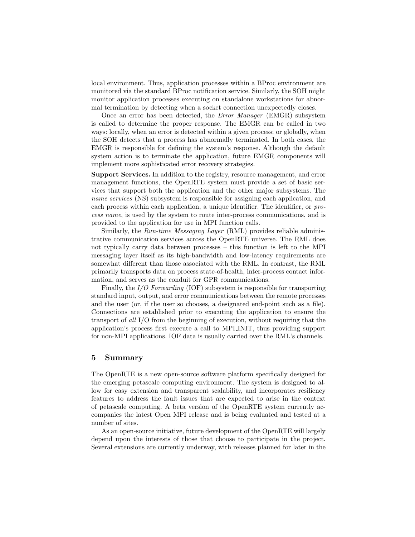local environment. Thus, application processes within a BProc environment are monitored via the standard BProc notification service. Similarly, the SOH might monitor application processes executing on standalone workstations for abnormal termination by detecting when a socket connection unexpectedly closes.

Once an error has been detected, the Error Manager (EMGR) subsystem is called to determine the proper response. The EMGR can be called in two ways: locally, when an error is detected within a given process; or globally, when the SOH detects that a process has abnormally terminated. In both cases, the EMGR is responsible for defining the system's response. Although the default system action is to terminate the application, future EMGR components will implement more sophisticated error recovery strategies.

Support Services. In addition to the registry, resource management, and error management functions, the OpenRTE system must provide a set of basic services that support both the application and the other major subsystems. The name services (NS) subsystem is responsible for assigning each application, and each process within each application, a unique identifier. The identifier, or process name, is used by the system to route inter-process communications, and is provided to the application for use in MPI function calls.

Similarly, the Run-time Messaging Layer (RML) provides reliable administrative communication services across the OpenRTE universe. The RML does not typically carry data between processes – this function is left to the MPI messaging layer itself as its high-bandwidth and low-latency requirements are somewhat different than those associated with the RML. In contrast, the RML primarily transports data on process state-of-health, inter-process contact information, and serves as the conduit for GPR communications.

Finally, the  $I/O$  Forwarding (IOF) subsystem is responsible for transporting standard input, output, and error communications between the remote processes and the user (or, if the user so chooses, a designated end-point such as a file). Connections are established prior to executing the application to ensure the transport of all I/O from the beginning of execution, without requiring that the application's process first execute a call to MPI INIT, thus providing support for non-MPI applications. IOF data is usually carried over the RML's channels.

#### 5 Summary

The OpenRTE is a new open-source software platform specifically designed for the emerging petascale computing environment. The system is designed to allow for easy extension and transparent scalability, and incorporates resiliency features to address the fault issues that are expected to arise in the context of petascale computing. A beta version of the OpenRTE system currently accompanies the latest Open MPI release and is being evaluated and tested at a number of sites.

As an open-source initiative, future development of the OpenRTE will largely depend upon the interests of those that choose to participate in the project. Several extensions are currently underway, with releases planned for later in the